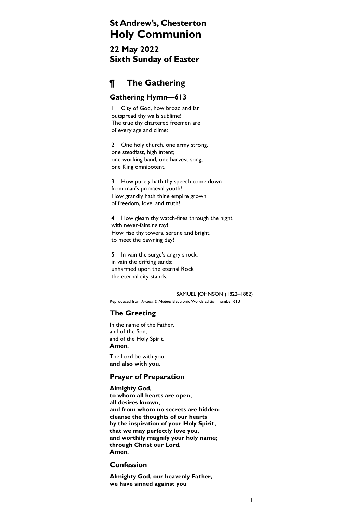# St Andrew's, Chesterton Holy Communion

22 May 2022 Sixth Sunday of Easter

# ¶ The Gathering

## Gathering Hymn—613

1 City of God, how broad and far outspread thy walls sublime! The true thy chartered freemen are of every age and clime:

2 One holy church, one army strong, one steadfast, high intent; one working band, one harvest-song, one King omnipotent.

3 How purely hath thy speech come down from man's primaeval youth! How grandly hath thine empire grown of freedom, love, and truth!

4 How gleam thy watch-fires through the night with never-fainting ray! How rise thy towers, serene and bright, to meet the dawning day!

5 In vain the surge's angry shock, in vain the drifting sands: unharmed upon the eternal Rock the eternal city stands.

SAMUEL JOHNSON (1822–1882) Reproduced from Ancient & Modern Electronic Words Edition, number 613.

# The Greeting

In the name of the Father, and of the Son, and of the Holy Spirit. Amen.

The Lord be with you and also with you.

# Prayer of Preparation

Almighty God, to whom all hearts are open, all desires known, and from whom no secrets are hidden: cleanse the thoughts of our hearts by the inspiration of your Holy Spirit, that we may perfectly love you, and worthily magnify your holy name; through Christ our Lord. Amen.

## Confession

Almighty God, our heavenly Father, we have sinned against you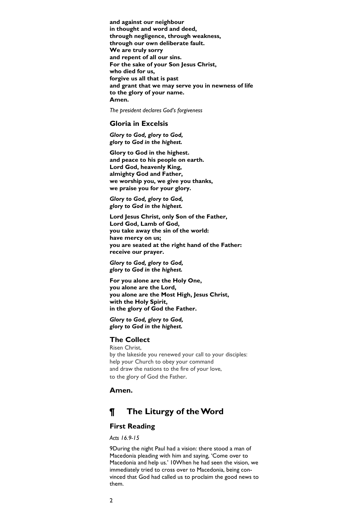and against our neighbour in thought and word and deed, through negligence, through weakness, through our own deliberate fault. We are truly sorry and repent of all our sins. For the sake of your Son Jesus Christ, who died for us, forgive us all that is past and grant that we may serve you in newness of life to the glory of your name. Amen.

The president declares God's forgiveness

## Gloria in Excelsis

Glory to God, glory to God, glory to God in the highest.

Glory to God in the highest. and peace to his people on earth. Lord God, heavenly King, almighty God and Father, we worship you, we give you thanks, we praise you for your glory.

Glory to God, glory to God, glory to God in the highest.

Lord Jesus Christ, only Son of the Father, Lord God, Lamb of God, you take away the sin of the world: have mercy on us; you are seated at the right hand of the Father: receive our prayer.

Glory to God, glory to God, glory to God in the highest.

For you alone are the Holy One, you alone are the Lord, you alone are the Most High, Jesus Christ, with the Holy Spirit, in the glory of God the Father.

Glory to God, glory to God, glory to God in the highest.

## The Collect

Risen Christ, by the lakeside you renewed your call to your disciples: help your Church to obey your command and draw the nations to the fire of your love, to the glory of God the Father.

#### Amen.

# ¶ The Liturgy of the Word

#### First Reading

Acts 16.9-15

9During the night Paul had a vision: there stood a man of Macedonia pleading with him and saying, 'Come over to Macedonia and help us.' 10When he had seen the vision, we immediately tried to cross over to Macedonia, being convinced that God had called us to proclaim the good news to them.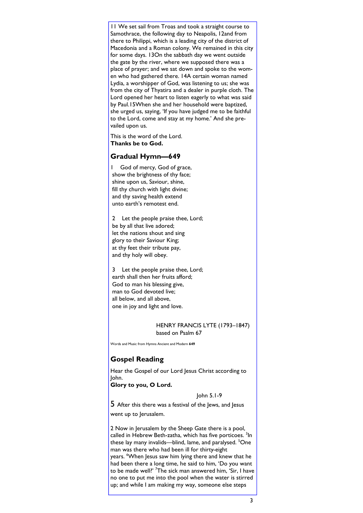11 We set sail from Troas and took a straight course to Samothrace, the following day to Neapolis, 12and from there to Philippi, which is a leading city of the district of Macedonia and a Roman colony. We remained in this city for some days. 13On the sabbath day we went outside the gate by the river, where we supposed there was a place of prayer; and we sat down and spoke to the women who had gathered there. 14A certain woman named Lydia, a worshipper of God, was listening to us; she was from the city of Thyatira and a dealer in purple cloth. The Lord opened her heart to listen eagerly to what was said by Paul.15When she and her household were baptized, she urged us, saying, 'If you have judged me to be faithful to the Lord, come and stay at my home.' And she prevailed upon us.

This is the word of the Lord. Thanks be to God.

## Gradual Hymn—649

1 God of mercy, God of grace, show the brightness of thy face; shine upon us, Saviour, shine, fill thy church with light divine; and thy saving health extend unto earth's remotest end.

2 Let the people praise thee, Lord; be by all that live adored; let the nations shout and sing glory to their Saviour King; at thy feet their tribute pay, and thy holy will obey.

3 Let the people praise thee, Lord; earth shall then her fruits afford; God to man his blessing give, man to God devoted live; all below, and all above, one in joy and light and love.

#### HENRY FRANCIS LYTE (1793–1847) based on Psalm 67

Words and Music from Hymns Ancient and Modern 649

# Gospel Reading

Hear the Gospel of our Lord Jesus Christ according to John. Glory to you, O Lord.

John 5.1-9

5 After this there was a festival of the Jews, and Jesus went up to Jerusalem.

2 Now in Jerusalem by the Sheep Gate there is a pool, called in Hebrew Beth-zatha, which has five porticoes. <sup>3</sup>In these lay many invalids—blind, lame, and paralysed. <sup>5</sup>One man was there who had been ill for thirty-eight years. <sup>6</sup>When Jesus saw him lying there and knew that he had been there a long time, he said to him, 'Do you want to be made well?' <sup>7</sup>The sick man answered him, 'Sir, I have no one to put me into the pool when the water is stirred up; and while I am making my way, someone else steps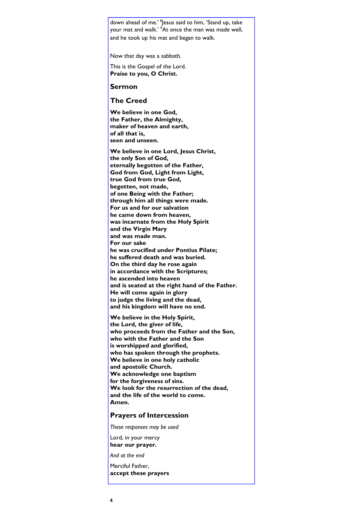down ahead of me.' <sup>8</sup> Jesus said to him, 'Stand up, take your mat and walk.' <sup>9</sup>At once the man was made well, and he took up his mat and began to walk.

Now that day was a sabbath.

This is the Gospel of the Lord. Praise to you, O Christ.

### Sermon

## The Creed

We believe in one God, the Father, the Almighty, maker of heaven and earth, of all that is, seen and unseen.

We believe in one Lord, Jesus Christ, the only Son of God, eternally begotten of the Father, God from God, Light from Light, true God from true God, begotten, not made, of one Being with the Father; through him all things were made. For us and for our salvation he came down from heaven, was incarnate from the Holy Spirit and the Virgin Mary and was made man. For our sake he was crucified under Pontius Pilate; he suffered death and was buried. On the third day he rose again in accordance with the Scriptures; he ascended into heaven and is seated at the right hand of the Father. He will come again in glory to judge the living and the dead, and his kingdom will have no end.

We believe in the Holy Spirit, the Lord, the giver of life, who proceeds from the Father and the Son, who with the Father and the Son is worshipped and glorified, who has spoken through the prophets. We believe in one holy catholic and apostolic Church. We acknowledge one baptism for the forgiveness of sins. We look for the resurrection of the dead, and the life of the world to come. Amen.

#### Prayers of Intercession

These responses may be used

Lord, in your mercy hear our prayer.

And at the end

Merciful Father, accept these prayers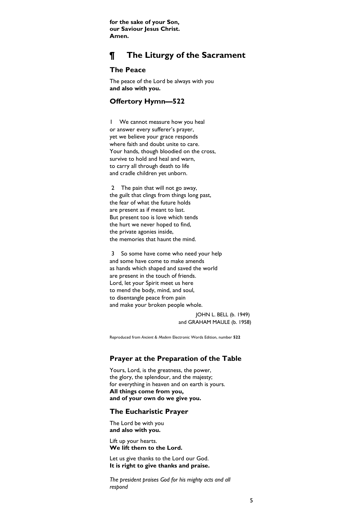for the sake of your Son, our Saviour Jesus Christ. Amen.

# ¶ The Liturgy of the Sacrament

## The Peace

The peace of the Lord be always with you and also with you.

### Offertory Hymn—522

1 We cannot measure how you heal or answer every sufferer's prayer, yet we believe your grace responds where faith and doubt unite to care. Your hands, though bloodied on the cross, survive to hold and heal and warn, to carry all through death to life and cradle children yet unborn.

2 The pain that will not go away, the guilt that clings from things long past, the fear of what the future holds are present as if meant to last. But present too is love which tends the hurt we never hoped to find, the private agonies inside, the memories that haunt the mind.

3 So some have come who need your help and some have come to make amends as hands which shaped and saved the world are present in the touch of friends. Lord, let your Spirit meet us here to mend the body, mind, and soul, to disentangle peace from pain and make your broken people whole.

> JOHN L. BELL (b. 1949) and GRAHAM MAULE (b. 1958)

Reproduced from Ancient & Modern Electronic Words Edition, number 522

## Prayer at the Preparation of the Table

Yours, Lord, is the greatness, the power, the glory, the splendour, and the majesty; for everything in heaven and on earth is yours. All things come from you, and of your own do we give you.

#### The Eucharistic Prayer

The Lord be with you and also with you.

Lift up your hearts. We lift them to the Lord.

Let us give thanks to the Lord our God. It is right to give thanks and praise.

The president praises God for his mighty acts and all respond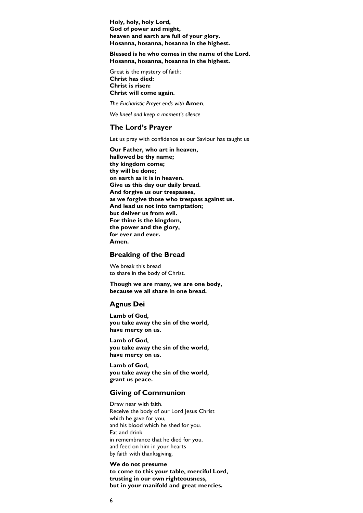Holy, holy, holy Lord, God of power and might, heaven and earth are full of your glory. Hosanna, hosanna, hosanna in the highest.

Blessed is he who comes in the name of the Lord. Hosanna, hosanna, hosanna in the highest.

Great is the mystery of faith: Christ has died: Christ is risen: Christ will come again.

The Eucharistic Prayer ends with Amen.

We kneel and keep a moment's silence

#### The Lord's Prayer

Let us pray with confidence as our Saviour has taught us

Our Father, who art in heaven, hallowed be thy name; thy kingdom come; thy will be done; on earth as it is in heaven. Give us this day our daily bread. And forgive us our trespasses, as we forgive those who trespass against us. And lead us not into temptation; but deliver us from evil. For thine is the kingdom, the power and the glory, for ever and ever. Amen.

#### Breaking of the Bread

We break this bread to share in the body of Christ.

Though we are many, we are one body, because we all share in one bread.

#### Agnus Dei

Lamb of God, you take away the sin of the world, have mercy on us.

Lamb of God, you take away the sin of the world, have mercy on us.

Lamb of God, you take away the sin of the world, grant us peace.

#### Giving of Communion

Draw near with faith. Receive the body of our Lord Jesus Christ which he gave for you, and his blood which he shed for you. Eat and drink in remembrance that he died for you, and feed on him in your hearts by faith with thanksgiving.

#### We do not presume to come to this your table, merciful Lord, trusting in our own righteousness, but in your manifold and great mercies.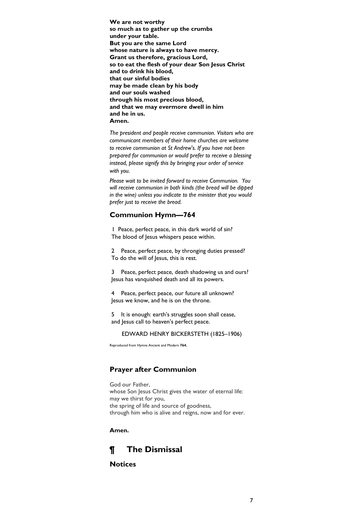We are not worthy so much as to gather up the crumbs under your table. But you are the same Lord whose nature is always to have mercy. Grant us therefore, gracious Lord, so to eat the flesh of your dear Son Jesus Christ and to drink his blood, that our sinful bodies may be made clean by his body and our souls washed through his most precious blood, and that we may evermore dwell in him and he in us. Amen.

The president and people receive communion. Visitors who are communicant members of their home churches are welcome to receive communion at St Andrew's. If you have not been prepared for communion or would prefer to receive a blessing instead, please signify this by bringing your order of service with you.

Please wait to be invited forward to receive Communion. You will receive communion in both kinds (the bread will be dipped in the wine) unless you indicate to the minister that you would prefer just to receive the bread.

### Communion Hymn—764

1 Peace, perfect peace, in this dark world of sin? The blood of Jesus whispers peace within.

2 Peace, perfect peace, by thronging duties pressed? To do the will of Jesus, this is rest.

3 Peace, perfect peace, death shadowing us and ours? Jesus has vanquished death and all its powers.

4 Peace, perfect peace, our future all unknown? Jesus we know, and he is on the throne.

5 It is enough: earth's struggles soon shall cease, and Jesus call to heaven's perfect peace.

EDWARD HENRY BICKERSTETH (1825–1906)

Reproduced from Hymns Ancient and Modern 764.

## Prayer after Communion

God our Father, whose Son Jesus Christ gives the water of eternal life: may we thirst for you, the spring of life and source of goodness, through him who is alive and reigns, now and for ever.

Amen.

# ¶ The Dismissal

## **Notices**